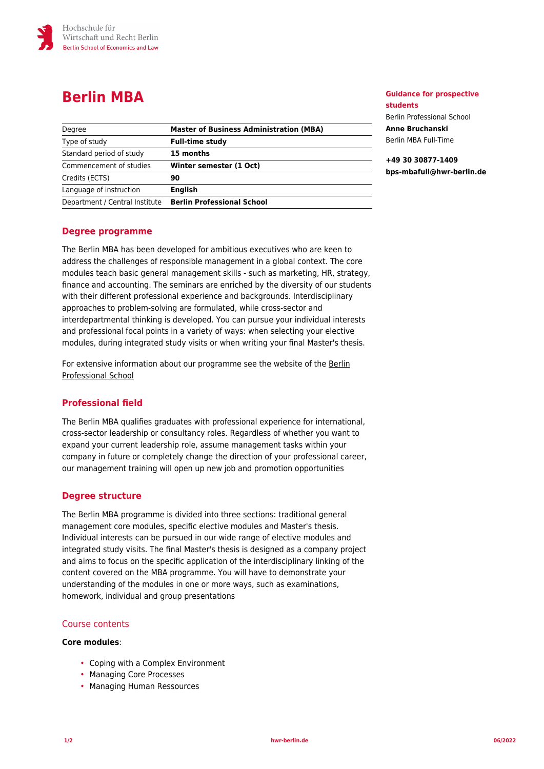

# **Berlin MBA**

| Degree                         | <b>Master of Business Administration (MBA)</b> |
|--------------------------------|------------------------------------------------|
| Type of study                  | <b>Full-time study</b>                         |
| Standard period of study       | 15 months                                      |
| Commencement of studies        | Winter semester (1 Oct)                        |
| Credits (ECTS)                 | 90                                             |
| Language of instruction        | <b>English</b>                                 |
| Department / Central Institute | <b>Berlin Professional School</b>              |

**Guidance for prospective students** Berlin Professional School

**Anne Bruchanski** Berlin MBA Full-Time

**+49 30 30877-1409 bps-mbafull@hwr-berlin.de**

## **Degree programme**

The Berlin MBA has been developed for ambitious executives who are keen to address the challenges of responsible management in a global context. The core modules teach basic general management skills - such as marketing, HR, strategy, finance and accounting. The seminars are enriched by the diversity of our students with their different professional experience and backgrounds. Interdisciplinary approaches to problem-solving are formulated, while cross-sector and interdepartmental thinking is developed. You can pursue your individual interests and professional focal points in a variety of ways: when selecting your elective modules, during integrated study visits or when writing your final Master's thesis.

For extensive information about our programme see the website of the [Berlin](https://www.berlin-professional-school.de/en/mba-mpa/private-management/berlin-full-time-mba/) [Professional School](https://www.berlin-professional-school.de/en/mba-mpa/private-management/berlin-full-time-mba/)

## **Professional field**

The Berlin MBA qualifies graduates with professional experience for international, cross-sector leadership or consultancy roles. Regardless of whether you want to expand your current leadership role, assume management tasks within your company in future or completely change the direction of your professional career, our management training will open up new job and promotion opportunities

## **Degree structure**

The Berlin MBA programme is divided into three sections: traditional general management core modules, specific elective modules and Master's thesis. Individual interests can be pursued in our wide range of elective modules and integrated study visits. The final Master's thesis is designed as a company project and aims to focus on the specific application of the interdisciplinary linking of the content covered on the MBA programme. You will have to demonstrate your understanding of the modules in one or more ways, such as examinations, homework, individual and group presentations

## Course contents

## **Core modules**:

- Coping with a Complex Environment
- Managing Core Processes
- Managing Human Ressources